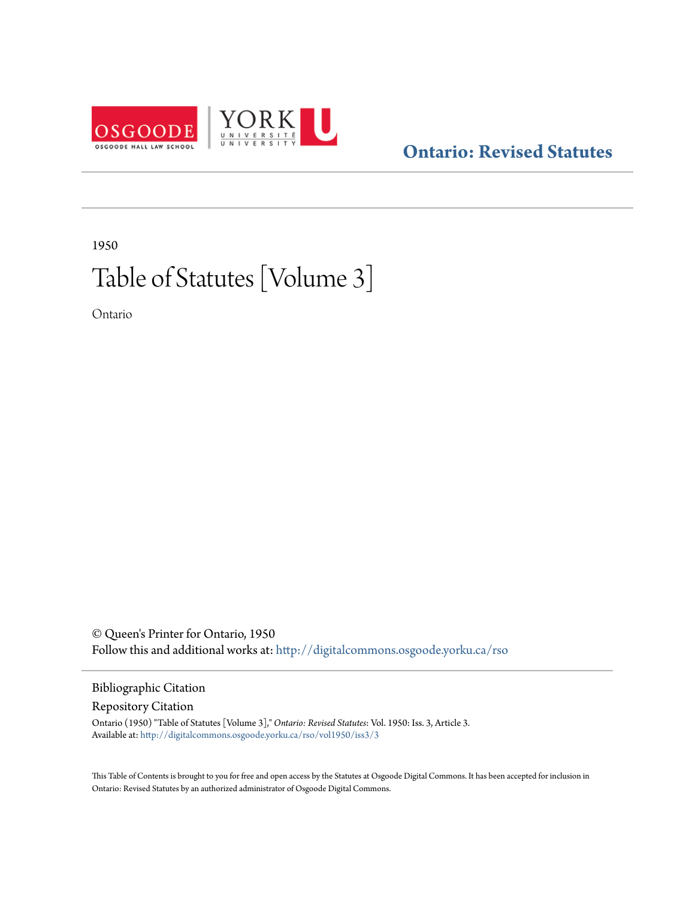

## **[Ontario: Revised Statutes](http://digitalcommons.osgoode.yorku.ca/rso?utm_source=digitalcommons.osgoode.yorku.ca%2Frso%2Fvol1950%2Fiss3%2F3&utm_medium=PDF&utm_campaign=PDFCoverPages)**

# 1950 Table of Statutes [Volume 3]

Ontario

© Queen's Printer for Ontario, 1950 Follow this and additional works at: [http://digitalcommons.osgoode.yorku.ca/rso](http://digitalcommons.osgoode.yorku.ca/rso?utm_source=digitalcommons.osgoode.yorku.ca%2Frso%2Fvol1950%2Fiss3%2F3&utm_medium=PDF&utm_campaign=PDFCoverPages)

## Bibliographic Citation

Repository Citation

Ontario (1950) "Table of Statutes [Volume 3]," *Ontario: Revised Statutes*: Vol. 1950: Iss. 3, Article 3. Available at: [http://digitalcommons.osgoode.yorku.ca/rso/vol1950/iss3/3](http://digitalcommons.osgoode.yorku.ca/rso/vol1950/iss3/3?utm_source=digitalcommons.osgoode.yorku.ca%2Frso%2Fvol1950%2Fiss3%2F3&utm_medium=PDF&utm_campaign=PDFCoverPages)

This Table of Contents is brought to you for free and open access by the Statutes at Osgoode Digital Commons. It has been accepted for inclusion in Ontario: Revised Statutes by an authorized administrator of Osgoode Digital Commons.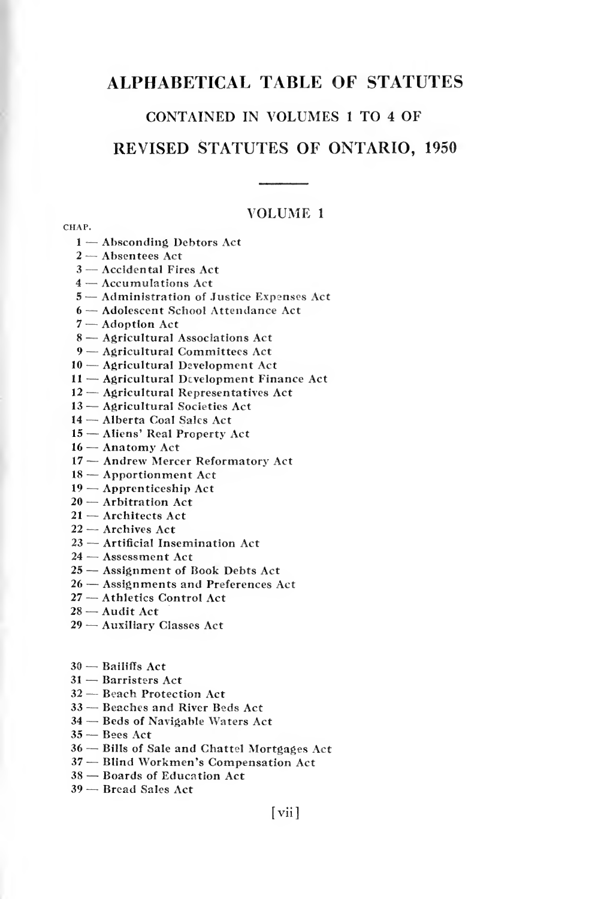## ALPHABETICAL TABLE OF STATUTES

#### CONTAINED IN VOLUMES <sup>1</sup> TO <sup>4</sup> OF

### REVISED STATUTES OF ONTARIO, <sup>1950</sup>

#### VOLUME <sup>1</sup>

- Absconding Debtors Act
- Absentees Act
- Accidental Fires Act
- Accumulations Act
- Administration of Justice Expenses Act
- Adolescent School Attendance Act
- Adoption Act
- Agricultural Associations Act
- Agricultural Committees Act
- Agricultural Development Act
- Agricultural Development Finance Act
- Agricultural Representatives Act
- Agricultural Societies Act
- Alberta Coal Sales Act
- Aliens' Real Property Act
- Anatomy Act
- Andrew Mercer Reformatory Act
- Apportionment Act
- Apprenticeship Act
- Arbitration Act
- Architects Act
- Archives Act
- Artificial Insemination Act
- Assessment Act
- Assignment of Book Debts Act
- Assignments and Preferences Act
- Athletics Control Act
- Audit Act
- Auxiliary Classes Act
- $30 -$  Bailiffs Act
- Barristers Act
- Beach Protection Act
- Beaches and River Beds Act
- Beds of Navigable Waters Act
- Bees Act
- Bills of Sale and Chattel Mortgages Act
- Blind Workmen's Compensation Act
- Boards of Education Act
- Bread Sales Act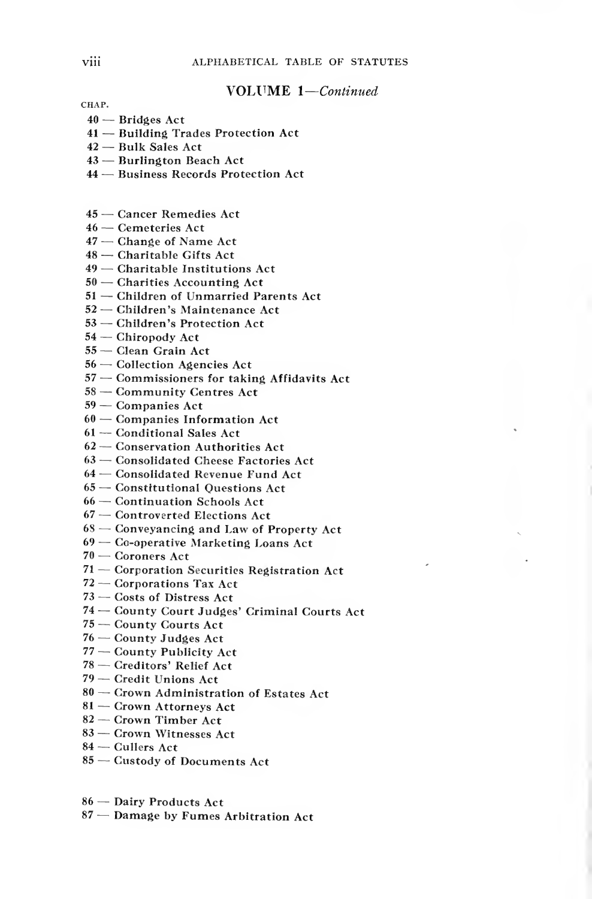#### VOLUME 1-Continued

- Bridges Act
- Building Trades Protection Act
- Bulk Sales Act
- Burlington Beach Act
- Business Records Protection Act
- Cancer Remedies Act
- Cemeteries Act
- Change of Name Act
- Charitable Gifts Act
- Charitable Institutions Act
- Charities Accounting Act
- Children of Unmarried Parents Act
- Children's Maintenance Act
- Children's Protection Act
- Chiropody Act
- Clean Grain Act
- Collection Agencies Act
- Commissioners for taking Affidavits Act
- Community Centres Act
- Companies Act
- Companies Information Act
- Conditional Sales Act
- Conservation Authorities Act
- Consolidated Cheese Factories Act
- Consolidated Revenue Fund Act
- Constitutional Questions Act
- Continuation Schools Act
- Controverted Elections Act
- Conveyancing and Law of Property Act
- Co-operative Marketing Loans Act
- Coroners Act
- Corporation Securities Registration Act
- Corporations Tax Act
- 73 Costs of Distress Act
- County Court Judges' Criminal Courts Act
- County Courts Act
- County Judges Act
- County Publicity Act
- Creditors' Relief Act
- Credit Unions Act
- Crown Administration of Estates Act
- Crown Attorneys Act
- Crown Timber Act
- Crown Witnesses Act
- Cullers Act
- Custody of Documents Act
- Dairy Products Act
- Damage by Fumes Arbitration Act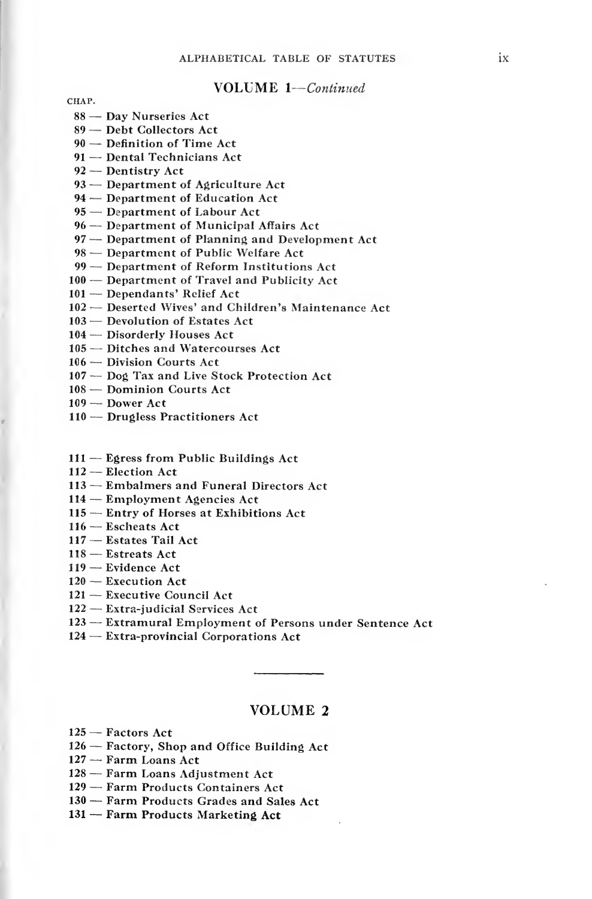#### VOLUME 1-Continued

CHAP.

- Day Nurseries Act
- Debt Collectors Act
- Definition of Time Act
- Dental Technicians Act
- Dentistry Act
- Department of Agriculture Act
- Department of Education Act
- Department of Labour Act
- Department of Municipal Affairs Act
- Department of Planning and Development Act
- Department of Public Welfare Act
- Department of Reform Institutions Act
- Department of Travel and Publicity Act
- Dependants' Relief Act
- Deserted Wives' and Children's Maintenance Act
- Devolution of Estates Act
- Disorderly Houses Act
- Ditches and Watercourses Act
- Division Courts Act
- Dog Tax and Live Stock Protection Act
- Dominion Courts Act
- Dower Act
- Drugless Practitioners Act
- Egress from Public Buildings Act
- Election Act
- Embalmers and Funeral Directors Act
- Employment Agencies Act
- Entry of Horses at Exhibitions Act
- Escheats Act
- Estates Tail Act
- Estreats Act
- Evidence Act
- Execution Act
- Executive Council Act
- Extra-judicial Services Act
- Extramural Employment of Persons under Sentence Act
- Extra-provincial Corporations Act

#### VOLUME <sup>2</sup>

- Factors Act
- Factory, Shop and Office Building Act
- Farm Loans Act
- Farm Loans Adjustment Act
- Farm Products Containers Act
- Farm Products Grades and Sales Act
- Farm Products Marketing Act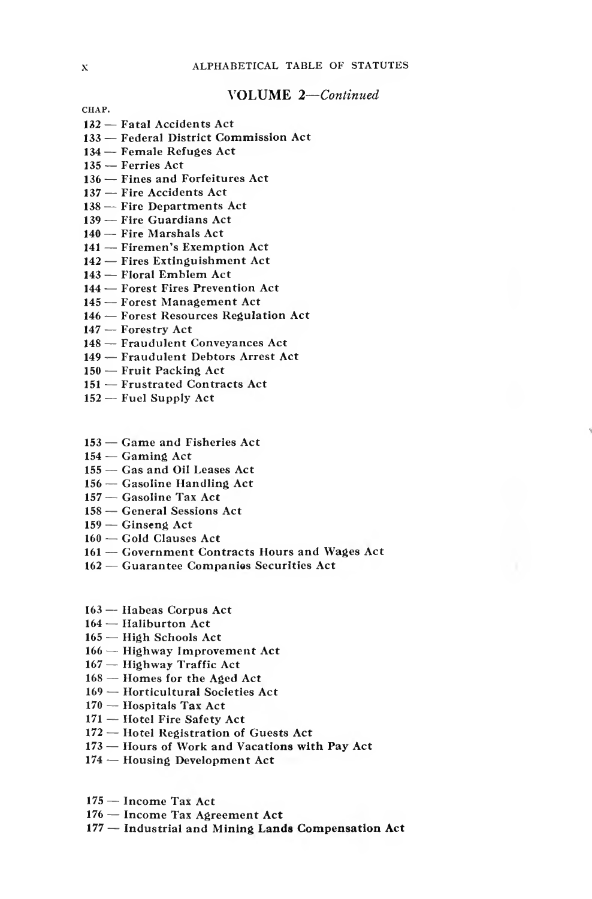#### VOLUME 2—Continued

- Fatal Accidents Act
- Federal District Commission Act
- Female Refuges Act
- Ferries Act
- Fines and Forfeitures Act
- Fire Accidents Act
- Fire Departments Act
- Fire Guardians Act
- Fire Marshals Act
- Firemen's Exemption Act
- Fires Extinguishment Act
- Floral Emblem Act
- Forest Fires Prevention Act
- Forest Management Act
- Forest Resources Regulation Act
- Forestry Act
- Fraudulent Conveyances Act
- 149 Fraudulent Debtors Arrest Act
- Fruit Packing Act
- Frustrated Contracts Act
- Fuel Supply Act
- Game and Fisheries Act
- Gaming Act
- Gas and Oil Leases Act
- Gasoline Handling Act
- Gasoline Tax Act
- General Sessions Act
- Ginseng Act
- Gold Clauses Act
- Government Contracts Hours and Wages Act
- Guarantee Companies Securities Act
- Habeas Corpus Act
- Haliburton Act
- High Schools Act
- Highway Improvement Act
- Highway Traffic Act
- Homes for the Aged Act
- Horticultural Societies Act
- Hospitals Tax Act
- Hotel Fire Safety Act
- Hotel Registration of Guests Act
- Hours of Work and Vacations with Pay Act
- Housing Development Act
- Income Tax Act
- Income Tax Agreement Act
- Industrial and Mining Lands Compensation Act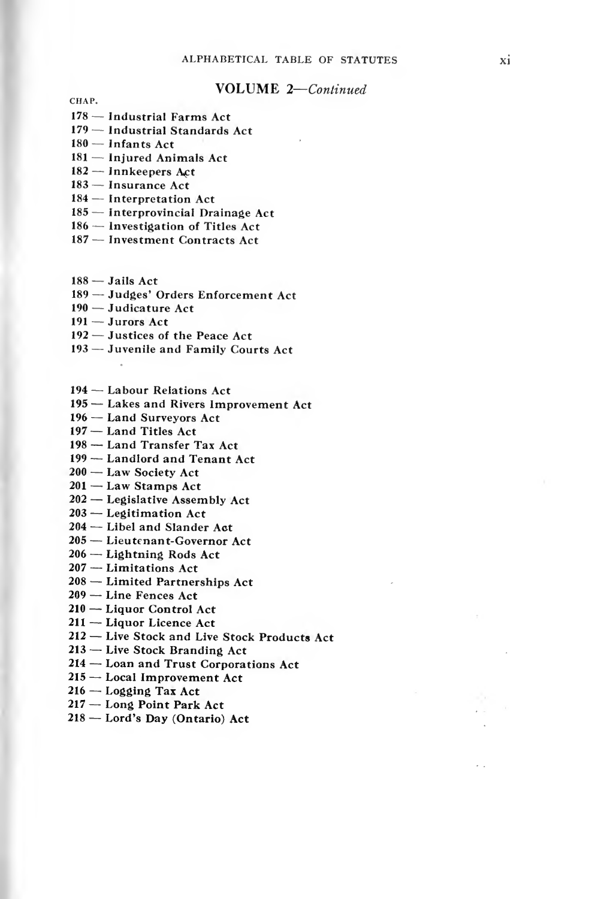#### VOLUME 2—Continued

CHAP.

- Industrial Farms Act
- Industrial Standards Act
- Infants Act
- Injured Animals Act
- $182 -$  Innkeepers Act
- Insurance Act
- Interpretation Act
- Interprovincial Drainage Act
- Investigation of Titles Act
- Investment Contracts Act
- $188 -$  Jails Act
- 189 Judges' Orders Enforcement Act
- Judicature Act
- Jurors Act
- Justices of the Peace Act
- Juvenile and Family Courts Act
- Labour Relations Act
- Lakes and Rivers Improvement Act
- Land Surveyors Act
- Land Titles Act
- Land Transfer Tax Act
- Landlord and Tenant Act
- 200 Law Society Act
- $201 -$  Law Stamps Act
- Legislative Assembly Act
- Legitimation Act
- Libel and Slander Act
- Lieutenant-Governor Act
- Lightning Rods Act
- Limitations Act
- Limited Partnerships Act
- Line Fences Act
- Liquor Control Act
- Liquor Licence Act
- 212 Live Stock and Live Stock Products Act
- Live Stock Branding Act
- Loan and Trust Corporations Act
- Local Improvement Act
- Logging Tax Act
- Long Point Park Act
- Lord's Day (Ontario) Act

 $\ddot{\phantom{0}}$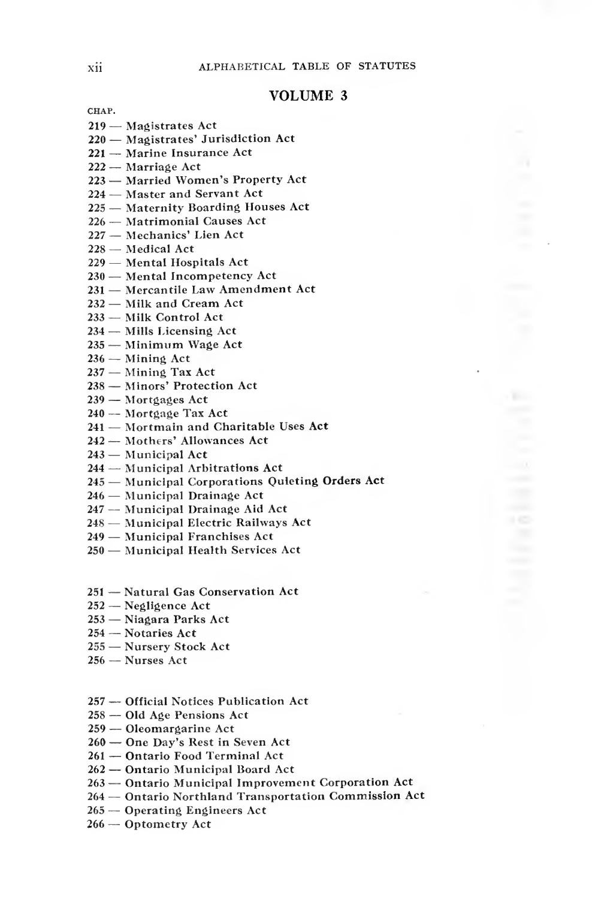#### VOLUME <sup>3</sup>

- Magistrates Act
- Magistrates' Jurisdiction Act
- Marine Insurance Act
- Marriage Act
- Married Women's Property Act
- Master and Servant Act
- Maternity Boarding Houses Act
- Matrimonial Causes Act
- Mechanics' Lien Act
- Medical Act
- Mental Hospitals Act
- Mental Incompetency Act
- Mercantile Law Amendment Act
- Milk and Cream Act
- Milk Control Act
- Mills Licensing Act
- Minimum Wage Act
- Mining Act
- Mining Tax Act
- Minors' Protection Act
- Mortgages Act
- Mortgage Tax Act
- Mortmain and Charitable Uses Act
- Mothers' Allowances Act
- Municipal Act
- Municipal Arbitrations Act
- Municipal Corporations Quieting Orders Act
- Municipal Drainage Act
- Municipal Drainage Aid Act
- Municipal Electric Railways Act
- Municipal Franchises Act
- Municipal Health Services Act
- Natural Gas Conservation Act
- Negligence Act
- Niagara Parks Act
- Notaries Act
- Nursery Stock Act
- Nurses Act
- Official Notices Publication Act
- Old Age Pensions Act
- Oleomargarine Act
- One Day's Rest in Seven Act
- Ontario Food Terminal Act
- Ontario Municipal Board Act
- Ontario Municipal Improvement Corporation Act
- Ontario Northland Transportation Commission Act
- Operating Engineers Act
- Optometry Act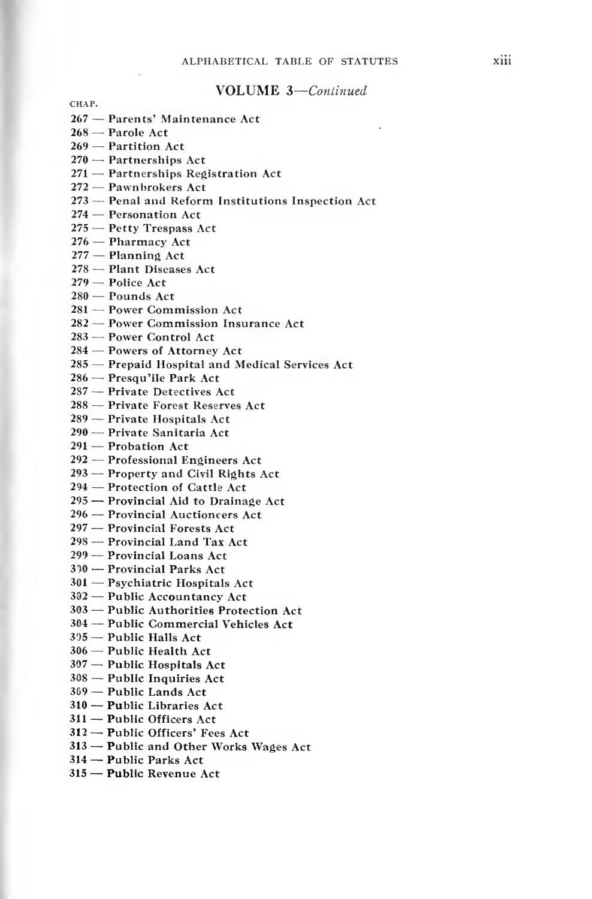#### VOLUME 3-Continued

- Parents' Maintenance Act
- Parole Act
- Partition Act
- Partnerships Act
- Partnerships Registration Act
- Pawnbrokers Act
- Penal and Reform Institutions Inspection Act
- Personation Act
- Petty Trespass Act
- Pharmacy Act
- Planning Act
- Plant Diseases Act
- Police Act
- Pounds Act
- Power Commission Act
- Power Commission Insurance Act
- Power Control Act
- Powers of Attorney Act
- Prepaid Hospital and Medical Services Act
- Presqu'ile Park Act
- Private Detectives Act
- Private Forest Reserves Act
- Private Hospitals Act
- Private Sanitaria Act
- Probation Act
- Professional Engineers Act
- Property and Civil Rights Act
- Protection of Cattle Act
- Provincial Aid to Drainage Act
- Provincial Auctioneers Act
- 297 Provincial Forests Act
- Provincial Land Tax Act
- Provincial Loans Act
- <sup>10</sup> Provincial Parks Act
- Psychiatric Hospitals Act
- Public Accountancy Act
- Public Authorities Protection Act
- Public Commercial Vehicles Act
- Public Halls Act
- Public Health Act
- Public Hospitals Act
- Public Inquiries Act
- Public Lands Act
- Public Libraries Act
- Public Officers Act
- Public Officers' Fees Act
- Public and Other Works Wages Act
- Public Parks Act
- Public Revenue Act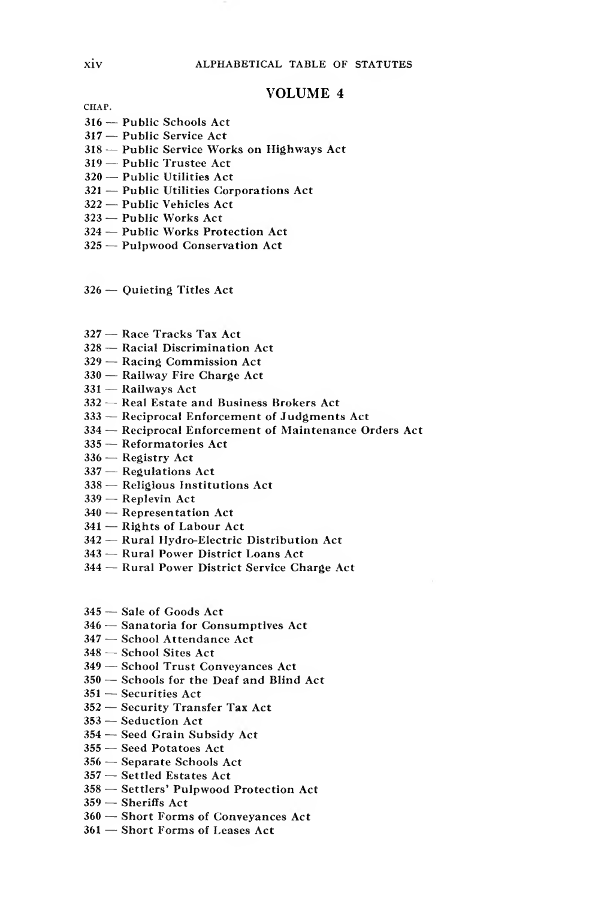#### VOLUME <sup>4</sup>

- Public Schools Act
- Public Service Act
- Public Service Works on Highways Act
- Public Trustee Act
- Public Utilities Act
- Public Utilities Corporations Act
- Public Vehicles Act
- Public Works Act
- Public Works Protection Act
- Pulpwood Conservation Act
- Quieting Titles Act
- Race Tracks Tax Act
- Racial Discrimination Act
- Racing Commission Act
- Railway Fire Charge Act
- Railways Act
- Real Estate and Business Brokers Act
- Reciprocal Enforcement of Judgments Act
- Reciprocal Enforcement of Maintenance Orders Act
- Reformatories Act
- Registry Act
- Regulations Act
- Religious Institutions Act
- Replevin Act
- Representation Act
- Rights of Labour Act
- Rural Hydro-Electric Distribution Act
- Rural Power District Loans Act
- Rural Power District Service Charge Act
- Sale of Goods Act
- Sanatoria for Consumptives Act
- School Attendance Act
- School Sites Act
- School Trust Conveyances Act
- Schools for the Deaf and Blind Act
- Securities Act
- Security Transfer Tax Act
- Seduction Act
- Seed Grain Subsidy Act
- Seed Potatoes Act
- Separate Schools Act
- Settled Estates Act
- Settlers' Pulpwood Protection Act
- Sheriffs Act
- Short Forms of Conveyances Act
- Short Forms of Leases Act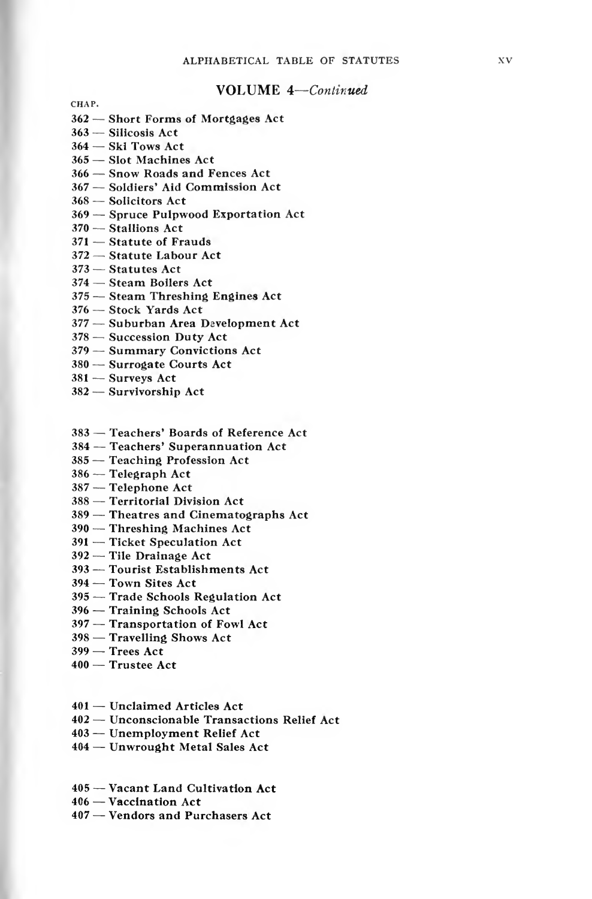#### VOLUME A—Continued

- Short Forms of Mortgages Act
- Silicosis Act
- Ski Tows Act
- Slot Machines Act
- Snow Roads and Fences Act
- Soldiers' Aid Commission Act
- Solicitors Act
- Spruce Pulpwood Exportation Act
- Stallions Act
- Statute of Frauds
- Statute Labour Act
- Statutes Act
- Steam Boilers Act
- Steam Threshing Engines Act
- ~ Stock Yards Act
- Suburban Area Development Act
- Succession Duty Act
- Summary Convictions Act
- Surrogate Courts Act
- Surveys Act
- Survivorship Act
- Teachers' Boards of Reference Act
- Teachers' Superannuation Act
- Teaching Profession Act
- Telegraph Act
- Telephone Act
- Territorial Division Act
- Theatres and Cinematographs Act
- Threshing Machines Act
- Ticket Speculation Act
- Tile Drainage Act
- Tourist Establishments Act
- Town Sites Act
- Trade Schools Regulation Act
- Training Schools Act
- Transportation of Fowl Act
- Travelling Shows Act
- Trees Act
- Trustee Act
- Unclaimed Articles Act
- Unconscionable Transactions Relief Act
- Unemployment Relief Act
- Unwrought Metal Sales Act
- Vacant Land Cultivation Act
- Vaccination Act
- Vendors and Purchasers Act